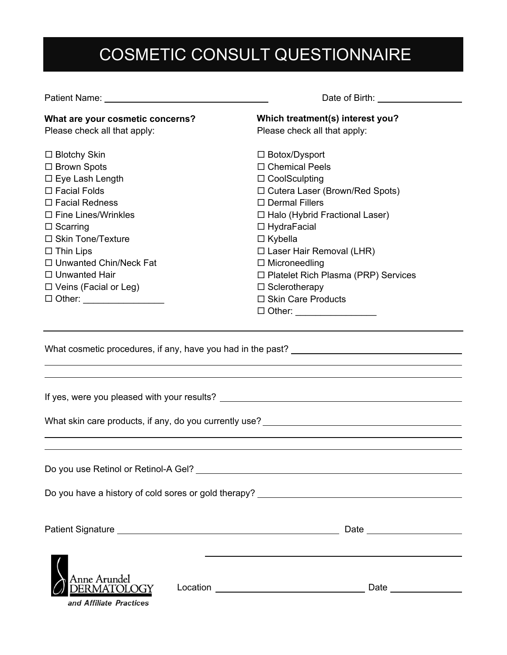# COSMETIC CONSULT QUESTIONNAIRE

| Patient Name: Name                                    | Date of Birth: <u>_____</u>                                                       |
|-------------------------------------------------------|-----------------------------------------------------------------------------------|
| What are your cosmetic concerns?                      | Which treatment(s) interest you?                                                  |
| Please check all that apply:                          | Please check all that apply:                                                      |
| $\Box$ Blotchy Skin                                   | □ Botox/Dysport                                                                   |
| □ Brown Spots                                         | $\Box$ Chemical Peels                                                             |
| $\square$ Eye Lash Length                             | $\Box$ CoolSculpting                                                              |
| $\Box$ Facial Folds                                   | □ Cutera Laser (Brown/Red Spots)                                                  |
| $\Box$ Facial Redness                                 | $\square$ Dermal Fillers                                                          |
| $\Box$ Fine Lines/Wrinkles                            | □ Halo (Hybrid Fractional Laser)                                                  |
| $\Box$ Scarring                                       | $\Box$ HydraFacial                                                                |
| □ Skin Tone/Texture                                   | $\Box$ Kybella                                                                    |
| $\Box$ Thin Lips                                      | $\Box$ Laser Hair Removal (LHR)                                                   |
| $\Box$ Unwanted Chin/Neck Fat                         | $\Box$ Microneedling                                                              |
| $\Box$ Unwanted Hair                                  | □ Platelet Rich Plasma (PRP) Services                                             |
| $\Box$ Veins (Facial or Leg)                          | $\Box$ Sclerotherapy                                                              |
| □ Other: __________________                           | $\Box$ Skin Care Products                                                         |
|                                                       | $\Box$ Other: ___________________                                                 |
|                                                       | What skin care products, if any, do you currently use? __________________________ |
| Do you use Retinol or Retinol-A Gel?                  |                                                                                   |
|                                                       | Do you have a history of cold sores or gold therapy? ___________________________  |
|                                                       |                                                                                   |
|                                                       |                                                                                   |
| Anne Arundel<br>ERMATOLOGY<br>and Affiliate Practices |                                                                                   |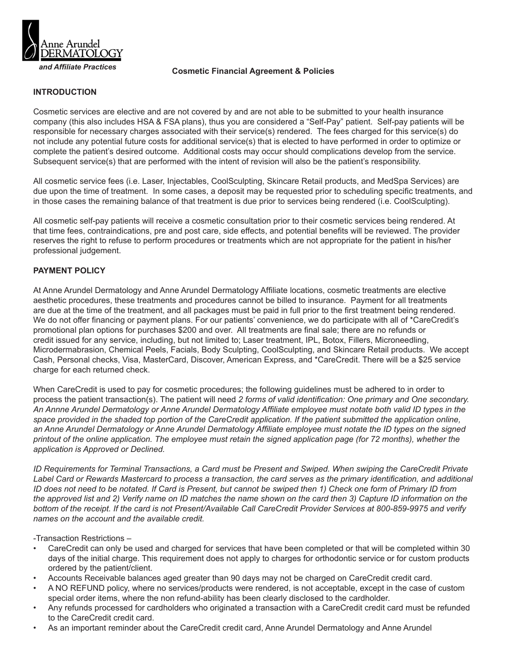

# *and Affiliate Practices* **Cosmetic Financial Agreement & Policies**

#### **INTRODUCTION**

Cosmetic services are elective and are not covered by and are not able to be submitted to your health insurance company (this also includes HSA & FSA plans), thus you are considered a "Self-Pay" patient. Self-pay patients will be responsible for necessary charges associated with their service(s) rendered. The fees charged for this service(s) do not include any potential future costs for additional service(s) that is elected to have performed in order to optimize or complete the patient's desired outcome. Additional costs may occur should complications develop from the service. Subsequent service(s) that are performed with the intent of revision will also be the patient's responsibility.

All cosmetic service fees (i.e. Laser, Injectables, CoolSculpting, Skincare Retail products, and MedSpa Services) are due upon the time of treatment. In some cases, a deposit may be requested prior to scheduling specific treatments, and in those cases the remaining balance of that treatment is due prior to services being rendered (i.e. CoolSculpting).

All cosmetic self-pay patients will receive a cosmetic consultation prior to their cosmetic services being rendered. At that time fees, contraindications, pre and post care, side effects, and potential benefits will be reviewed. The provider reserves the right to refuse to perform procedures or treatments which are not appropriate for the patient in his/her professional judgement.

### **PAYMENT POLICY**

At Anne Arundel Dermatology and Anne Arundel Dermatology Affiliate locations, cosmetic treatments are elective aesthetic procedures, these treatments and procedures cannot be billed to insurance. Payment for all treatments are due at the time of the treatment, and all packages must be paid in full prior to the first treatment being rendered. We do not offer financing or payment plans. For our patients' convenience, we do participate with all of \*CareCredit's promotional plan options for purchases \$200 and over. All treatments are final sale; there are no refunds or credit issued for any service, including, but not limited to; Laser treatment, IPL, Botox, Fillers, Microneedling, Microdermabrasion, Chemical Peels, Facials, Body Sculpting, CoolSculpting, and Skincare Retail products. We accept Cash, Personal checks, Visa, MasterCard, Discover, American Express, and \*CareCredit. There will be a \$25 service charge for each returned check.

When CareCredit is used to pay for cosmetic procedures; the following guidelines must be adhered to in order to process the patient transaction(s). The patient will need *2 forms of valid identification: One primary and One secondary. An Annne Arundel Dermatology or Anne Arundel Dermatology Affiliate employee must notate both valid ID types in the space provided in the shaded top portion of the CareCredit application. If the patient submitted the application online, an Anne Arundel Dermatology or Anne Arundel Dermatology Affiliate employee must notate the ID types on the signed printout of the online application. The employee must retain the signed application page (for 72 months), whether the application is Approved or Declined.*

*ID Requirements for Terminal Transactions, a Card must be Present and Swiped. When swiping the CareCredit Private Label Card or Rewards Mastercard to process a transaction, the card serves as the primary identification, and additional ID does not need to be notated. If Card is Present, but cannot be swiped then 1) Check one form of Primary ID from the approved list and 2) Verify name on ID matches the name shown on the card then 3) Capture ID information on the bottom of the receipt. If the card is not Present/Available Call CareCredit Provider Services at 800-859-9975 and verify names on the account and the available credit.* 

-Transaction Restrictions –

- CareCredit can only be used and charged for services that have been completed or that will be completed within 30 days of the initial charge. This requirement does not apply to charges for orthodontic service or for custom products ordered by the patient/client.
- Accounts Receivable balances aged greater than 90 days may not be charged on CareCredit credit card.
- A NO REFUND policy, where no services/products were rendered, is not acceptable, except in the case of custom special order items, where the non refund-ability has been clearly disclosed to the cardholder.
- Any refunds processed for cardholders who originated a transaction with a CareCredit credit card must be refunded to the CareCredit credit card.
- As an important reminder about the CareCredit credit card, Anne Arundel Dermatology and Anne Arundel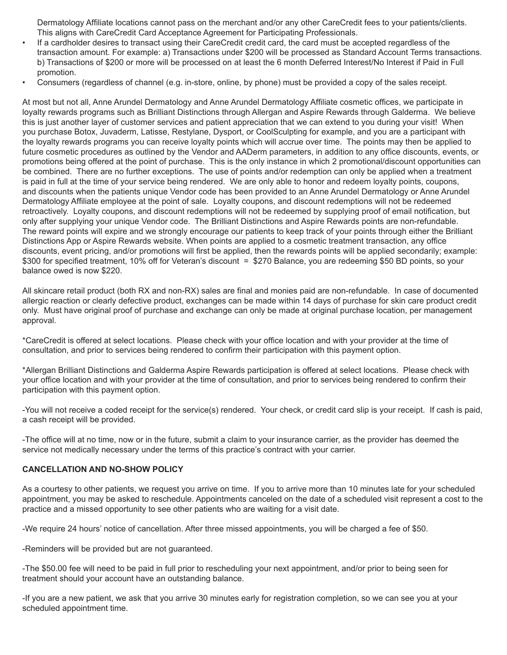Dermatology Affiliate locations cannot pass on the merchant and/or any other CareCredit fees to your patients/clients. This aligns with CareCredit Card Acceptance Agreement for Participating Professionals.

- If a cardholder desires to transact using their CareCredit credit card, the card must be accepted regardless of the transaction amount. For example: a) Transactions under \$200 will be processed as Standard Account Terms transactions. b) Transactions of \$200 or more will be processed on at least the 6 month Deferred Interest/No Interest if Paid in Full promotion.
- Consumers (regardless of channel (e.g. in-store, online, by phone) must be provided a copy of the sales receipt.

At most but not all, Anne Arundel Dermatology and Anne Arundel Dermatology Affiliate cosmetic offices, we participate in loyalty rewards programs such as Brilliant Distinctions through Allergan and Aspire Rewards through Galderma. We believe this is just another layer of customer services and patient appreciation that we can extend to you during your visit! When you purchase Botox, Juvaderm, Latisse, Restylane, Dysport, or CoolSculpting for example, and you are a participant with the loyalty rewards programs you can receive loyalty points which will accrue over time. The points may then be applied to future cosmetic procedures as outlined by the Vendor and AADerm parameters, in addition to any office discounts, events, or promotions being offered at the point of purchase. This is the only instance in which 2 promotional/discount opportunities can be combined. There are no further exceptions. The use of points and/or redemption can only be applied when a treatment is paid in full at the time of your service being rendered. We are only able to honor and redeem loyalty points, coupons, and discounts when the patients unique Vendor code has been provided to an Anne Arundel Dermatology or Anne Arundel Dermatology Affiliate employee at the point of sale. Loyalty coupons, and discount redemptions will not be redeemed retroactively. Loyalty coupons, and discount redemptions will not be redeemed by supplying proof of email notification, but only after supplying your unique Vendor code. The Brilliant Distinctions and Aspire Rewards points are non-refundable. The reward points will expire and we strongly encourage our patients to keep track of your points through either the Brilliant Distinctions App or Aspire Rewards website. When points are applied to a cosmetic treatment transaction, any office discounts, event pricing, and/or promotions will first be applied, then the rewards points will be applied secondarily; example: \$300 for specified treatment, 10% off for Veteran's discount = \$270 Balance, you are redeeming \$50 BD points, so your balance owed is now \$220.

All skincare retail product (both RX and non-RX) sales are final and monies paid are non-refundable. In case of documented allergic reaction or clearly defective product, exchanges can be made within 14 days of purchase for skin care product credit only. Must have original proof of purchase and exchange can only be made at original purchase location, per management approval.

\*CareCredit is offered at select locations. Please check with your office location and with your provider at the time of consultation, and prior to services being rendered to confirm their participation with this payment option.

\*Allergan Brilliant Distinctions and Galderma Aspire Rewards participation is offered at select locations. Please check with your office location and with your provider at the time of consultation, and prior to services being rendered to confirm their participation with this payment option.

-You will not receive a coded receipt for the service(s) rendered. Your check, or credit card slip is your receipt. If cash is paid, a cash receipt will be provided.

-The office will at no time, now or in the future, submit a claim to your insurance carrier, as the provider has deemed the service not medically necessary under the terms of this practice's contract with your carrier.

### **CANCELLATION AND NO-SHOW POLICY**

As a courtesy to other patients, we request you arrive on time. If you to arrive more than 10 minutes late for your scheduled appointment, you may be asked to reschedule. Appointments canceled on the date of a scheduled visit represent a cost to the practice and a missed opportunity to see other patients who are waiting for a visit date.

-We require 24 hours' notice of cancellation. After three missed appointments, you will be charged a fee of \$50.

-Reminders will be provided but are not guaranteed.

-The \$50.00 fee will need to be paid in full prior to rescheduling your next appointment, and/or prior to being seen for treatment should your account have an outstanding balance.

-If you are a new patient, we ask that you arrive 30 minutes early for registration completion, so we can see you at your scheduled appointment time.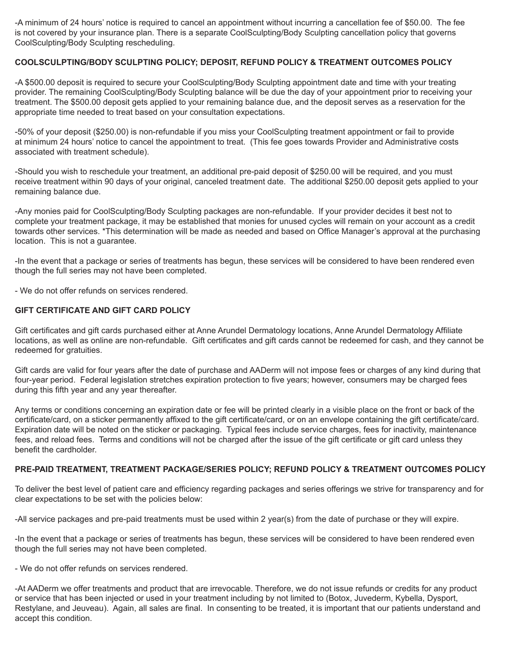-A minimum of 24 hours' notice is required to cancel an appointment without incurring a cancellation fee of \$50.00. The fee is not covered by your insurance plan. There is a separate CoolSculpting/Body Sculpting cancellation policy that governs CoolSculpting/Body Sculpting rescheduling.

## **COOLSCULPTING/BODY SCULPTING POLICY; DEPOSIT, REFUND POLICY & TREATMENT OUTCOMES POLICY**

-A \$500.00 deposit is required to secure your CoolSculpting/Body Sculpting appointment date and time with your treating provider. The remaining CoolSculpting/Body Sculpting balance will be due the day of your appointment prior to receiving your treatment. The \$500.00 deposit gets applied to your remaining balance due, and the deposit serves as a reservation for the appropriate time needed to treat based on your consultation expectations.

-50% of your deposit (\$250.00) is non-refundable if you miss your CoolSculpting treatment appointment or fail to provide at minimum 24 hours' notice to cancel the appointment to treat. (This fee goes towards Provider and Administrative costs associated with treatment schedule).

-Should you wish to reschedule your treatment, an additional pre-paid deposit of \$250.00 will be required, and you must receive treatment within 90 days of your original, canceled treatment date. The additional \$250.00 deposit gets applied to your remaining balance due.

-Any monies paid for CoolSculpting/Body Sculpting packages are non-refundable. If your provider decides it best not to complete your treatment package, it may be established that monies for unused cycles will remain on your account as a credit towards other services. \*This determination will be made as needed and based on Office Manager's approval at the purchasing location. This is not a guarantee.

-In the event that a package or series of treatments has begun, these services will be considered to have been rendered even though the full series may not have been completed.

- We do not offer refunds on services rendered.

### **GIFT CERTIFICATE AND GIFT CARD POLICY**

Gift certificates and gift cards purchased either at Anne Arundel Dermatology locations, Anne Arundel Dermatology Affiliate locations, as well as online are non-refundable. Gift certificates and gift cards cannot be redeemed for cash, and they cannot be redeemed for gratuities.

Gift cards are valid for four years after the date of purchase and AADerm will not impose fees or charges of any kind during that four-year period. Federal legislation stretches expiration protection to five years; however, consumers may be charged fees during this fifth year and any year thereafter.

Any terms or conditions concerning an expiration date or fee will be printed clearly in a visible place on the front or back of the certificate/card, on a sticker permanently affixed to the gift certificate/card, or on an envelope containing the gift certificate/card. Expiration date will be noted on the sticker or packaging. Typical fees include service charges, fees for inactivity, maintenance fees, and reload fees. Terms and conditions will not be charged after the issue of the gift certificate or gift card unless they benefit the cardholder.

### **PRE-PAID TREATMENT, TREATMENT PACKAGE/SERIES POLICY; REFUND POLICY & TREATMENT OUTCOMES POLICY**

To deliver the best level of patient care and efficiency regarding packages and series offerings we strive for transparency and for clear expectations to be set with the policies below:

-All service packages and pre-paid treatments must be used within 2 year(s) from the date of purchase or they will expire.

-In the event that a package or series of treatments has begun, these services will be considered to have been rendered even though the full series may not have been completed.

- We do not offer refunds on services rendered.

-At AADerm we offer treatments and product that are irrevocable. Therefore, we do not issue refunds or credits for any product or service that has been injected or used in your treatment including by not limited to (Botox, Juvederm, Kybella, Dysport, Restylane, and Jeuveau). Again, all sales are final. In consenting to be treated, it is important that our patients understand and accept this condition.